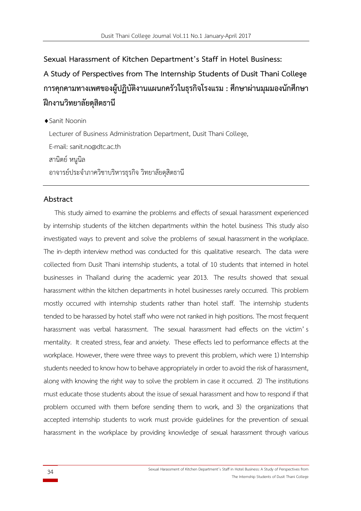**Sexual Harassment of Kitchen Department's Staff in Hotel Business:**

# **A Study of Perspectives from The Internship Students of Dusit Thani College การคุกคามทางเพศของผู้ปฏิบัติงานแผนกครัวในธุรกิจโรงแรม : ศึกษาผ่านมุมมองนักศึกษา ฝึกงานวิทยาลัยดุสิตธานี**

◆ Sanit Noonin

Lecturer of Business Administration Department, Dusit Thani College,

E-mail: sanit.[no@dtc](mailto:sanit.no@dtc.ac.th).ac.th

สานิตย์ หนูนิล

้อาจารย์ประจำภาควิชาบริหารธุรกิจ วิทยาลัยดุสิตธานี

## **Abstract**

This study aimed to examine the problems and effects of sexual harassment experienced by internship students of the kitchen departments within the hotel business This study also investigated ways to prevent and solve the problems of sexual harassment in the workplace. The in-depth interview method was conducted for this qualitative research. The data were collected from Dusit Thani internship students, a total of 10 students that interned in hotel businesses in Thailand during the academic year 2013. The results showed that sexual harassment within the kitchen departments in hotel businesses rarely occurred. This problem mostly occurred with internship students rather than hotel staff. The internship students tended to be harassed by hotel staff who were not ranked in high positions. The most frequent harassment was verbal harassment. The sexual harassment had effects on the victim' s mentality. It created stress, fear and anxiety. These effects led to performance effects at the workplace. However, there were three ways to prevent this problem, which were 1) Internship students needed to know how to behave appropriately in order to avoid the risk of harassment, along with knowing the right way to solve the problem in case it occurred. 2) The institutions must educate those students about the issue of sexual harassment and how to respond if that problem occurred with them before sending them to work, and 3) the organizations that accepted internship students to work must provide guidelines for the prevention of sexual harassment in the workplace by providing knowledge of sexual harassment through various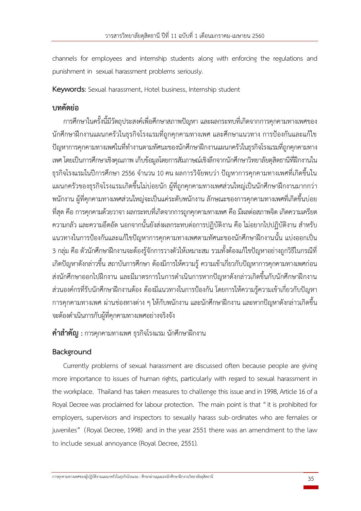channels for employees and internship students along with enforcing the regulations and punishment in sexual harassment problems seriously.

**Keywords:** Sexual harassment, Hotel business, Internship student

# **บทคัดย่อ**

การศึกษาในครั้งนี้มีวัตถุประสงค์เพื่อศึกษาสภาพปัญหา และผลกระทบที่เกิดจากการคุกคามทางเพศของ นักศึกษาฝึกงานแผนกครัวในธุรกิจโรงแรมที่ถูกคุกคามทางเพศ และศึกษาแนวทาง การป้องกันและแก้ไข ี ปัญหาการคกคามทางเพศในที่ทำงานตามทัศนะของนักศึกษาฝึกงานแผนกครัวในธรกิจโรงแรมที่ถูกคุกคามทาง เพศ โดยเป็นการศึกษาเชิงคุณภาพ เก็บข้อมูลโดยการสัมภาษณ์เชิงลึกจากนักศึกษาวิทยาลัยดุสิตธานีที่ฝึกงานใน ์ ธุรกิจโรงแรมในปีการศึกษา 2556 จำนวน 10 คน ผลการวิจัยพบว่า ปัญหาการคุกคามทางเพศที่เกิดขึ้นใน แผนกครัวของธุรกิจโรงแรมเกิดขึ้นไม่บ่อยนัก ผู้ที่ถูกคุกคามทางเพศส่วนใหญ่เป็นนักศึกษาฝึกงานมากกว่า พนักงาน ผู้ที่คุกคามทางเพศส่วนใหญ่จะเป็นแค่ระดับพนักงาน ลักษณะของการคุกคามทางเพศที่เกิดขึ้นบ่อย ที่สุด คือ การคุกคามด้วยวาจา ผลกระทบที่เกิดจากการถูกคุกคามทางเพศ คือ มีผลต่อสภาพจิต เกิดความเครียด ความกลัว และความอึดอัด นอกจากนั้นยังส่งผลกระทบต่อการปฏิบัติงาน คือ ไม่อยากไปปฏิบัติงาน สำหรับ แนวทางในการป้องกันและแก้ไขปัญหาการคุกคามทางเพศตามทัศนะของนักศึกษาฝึกงานนั้น แบ่งออกเป็น 3 กลุ่ม คือ ตัวนักศึกษาฝึกงานจะต้องรู้จักการวางตัวให้เหมาะสม รวมทั้งต้องแก้ไขปัญหาอย่างถูกวิธีในกรณีที่ เกิดปัญหาดังกล่าวขึ้น สถาบันการศึกษา ต้องมีการให้ความรู้ ความเข้าเกี่ยวกับปัญหาการคุกคามทางเพศก่อน ้ส่งนักศึกษาออกไปฝึกงาน และมีมาตรการในการดำเนินการหากปัญหาดังกล่าวเกิดขึ้นกับนักศึกษาฝึกงาน ส่วนองค์กรที่รับนักศึกษาฝึกงานต้อง ต้องมีแนวทางในการป้องกัน โดยการให้ความรู้ความเข้าเกี่ยวกับปัญหา การคุกคามทางเพศ ผ่านช่องทางต่าง ๆ ให้กับพนักงาน และนักศึกษาฝึกงาน และหากปัญหาดังกล่าวเกิดขึ้น จะต้องด าเนินการกับผู้ที่คุกคามทางเพศอย่างจริงจัง

**ค าส าคัญ :** การคุกคามทางเพศ ธุรกิจโรงแรม นักศึกษาฝึกงาน

# **Background**

Currently problems of sexual harassment are discussed often because people are giving more importance to issues of human rights, particularly with regard to sexual harassment in the workplace. Thailand has taken measures to challenge this issue and in 1998, Article 16 of a Royal Decree was proclaimed for labour protection. The main point is that "it is prohibited for employers, supervisors and inspectors to sexually harass sub-ordinates who are females or juveniles" (Royal Decree, 1998) and in the year 2551 there was an amendment to the law to include sexual annoyance (Royal Decree, 2551).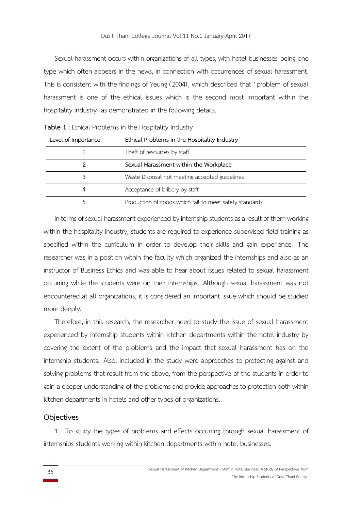Sexual harassment occurs within organizations of all types, with hotel businesses being one type which often appears in the news, in connection with occurrences of sexual harassment. This is consistent with the findings of Yeung (2004), which described that 'problem of sexual harassment is one of the ethical issues which is the second most important within the hospitality industry' as demonstrated in the following details.

| Level of Importance | Ethical Problems in the Hospitality Industry            |
|---------------------|---------------------------------------------------------|
|                     | Theft of resources by staff                             |
|                     | Sexual Harassment within the Workplace                  |
|                     | Waste Disposal not meeting accepted guidelines          |
| 4                   | Acceptance of bribery by staff                          |
|                     | Production of goods which fail to meet safety standards |

**Table 1** : Ethical Problems in the Hospitality Industry

In terms of sexual harassment experienced by internship students as a result of them working within the hospitality industry, students are required to experience supervised field training as specified within the curriculum in order to develop their skills and gain experience. The researcher was in a position within the faculty which organized the internships and also as an instructor of Business Ethics and was able to hear about issues related to sexual harassment occurring while the students were on their internships. Although sexual harassment was not encountered at all organizations, it is considered an important issue which should be studied more deeply.

Therefore, in this research, the researcher need to study the issue of sexual harassment experienced by internship students within kitchen departments within the hotel industry by covering the extent of the problems and the impact that sexual harassment has on the internship students. Also, included in the study were approaches to protecting against and solving problems that result from the above, from the perspective of the students in order to gain a deeper understanding of the problems and provide approaches to protection both within kitchen departments in hotels and other types of organizations.

#### **Objectives**

1. To study the types of problems and effects occurring through sexual harassment of internships students working within kitchen departments within hotel businesses.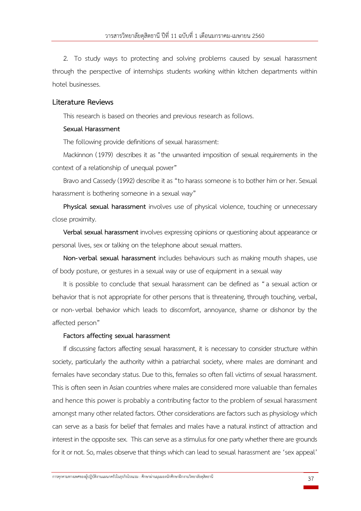2. To study ways to protecting and solving problems caused by sexual harassment through the perspective of internships students working within kitchen departments within hotel businesses.

#### **Literature Reviews**

This research is based on theories and previous research as follows.

#### **Sexual Harassment**

The following provide definitions of sexual harassment:

Mackinnon (1979) describes it as "the unwanted imposition of sexual requirements in the context of a relationship of unequal power"

Bravo and Cassedy (1992) describe it as "to harass someone is to bother him or her. Sexual harassment is bothering someone in a sexual way"

**Physical sexual harassment** involves use of physical violence, touching or unnecessary close proximity.

**Verbal sexual harassment** involves expressing opinions or questioning about appearance or personal lives, sex or talking on the telephone about sexual matters.

**Non-verbal sexual harassment** includes behaviours such as making mouth shapes, use of body posture, or gestures in a sexual way or use of equipment in a sexual way

It is possible to conclude that sexual harassment can be defined as "a sexual action or behavior that is not appropriate for other persons that is threatening, through touching, verbal, or non-verbal behavior which leads to discomfort, annoyance, shame or dishonor by the affected person"

#### **Factors affecting sexual harassment**

If discussing factors affecting sexual harassment, it is necessary to consider structure within society, particularly the authority within a patriarchal society, where males are dominant and females have secondary status. Due to this, females so often fall victims of sexual harassment. This is often seen in Asian countries where males are considered more valuable than females and hence this power is probably a contributing factor to the problem of sexual harassment amongst many other related factors. Other considerations are factors suchas physiology which can serve as a basis for belief that females and males have a natural instinct of attraction and interest in the opposite sex. This can serve as a stimulus for one party whether there are grounds for it or not. So, males observe that things which can lead to sexual harassment are 'sex appeal'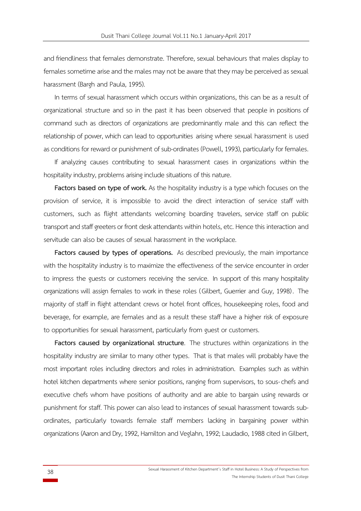and friendliness that females demonstrate. Therefore, sexual behaviours that males display to females sometime arise and the males may not be aware that they may be perceived as sexual harassment (Bargh and Paula, 1995).

In terms of sexual harassment which occurs within organizations, this can be as a result of organizational structure and so in the past it has been observed that people in positions of command such as directors of organizations are predominantly male and this can reflect the relationship of power, which can lead to opportunities arising where sexual harassment is used as conditions for reward or punishment of sub-ordinates (Powell, 1993), particularly for females.

If analyzing causes contributing to sexual harassment cases in organizations within the hospitality industry, problems arising include situations of this nature.

**Factors based on type of work.** As the hospitality industry is a type which focuses on the provision of service, it is impossible to avoid the direct interaction of service staff with customers, such as flight attendants welcoming boarding travelers, service staff on public transport and staff greeters or front desk attendants within hotels, etc. Hence this interaction and servitude can also be causes of sexual harassment in the workplace.

**Factors caused by types of operations.** As described previously, the main importance with the hospitality industry is to maximize the effectiveness of the service encounter in order to impress the guests or customers receiving the service. In support of this many hospitality organizations will assign females to work in these roles (Gilbert, Guerrier and Guy, 1998) . The majority of staff in flight attendant crews or hotel front offices, housekeeping roles, food and beverage, for example, are females and as a result these staff have a higher risk of exposure to opportunities for sexual harassment, particularly from guest or customers.

**Factors caused by organizational structure**. The structures within organizations in the hospitality industry are similar to many other types. That is that males will probably have the most important roles including directors and roles in administration. Examples such as within hotel kitchen departments where senior positions, ranging from supervisors, to sous-chefs and executive chefs whom have positions of authority and are able to bargain using rewards or punishment for staff. This power can also lead to instances of sexual harassment towards subordinates, particularly towards female staff members lacking in bargaining power within organizations (Aaron and Dry, 1992, Hamiltonand Veglahn, 1992; Laudadio, 1988 cited in Gilbert,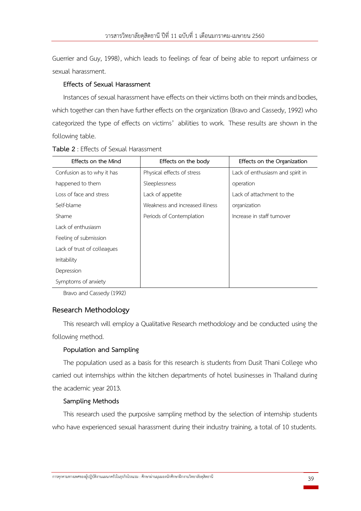Guerrier and Guy, 1998), which leads to feelings of fear of being able to report unfairness or sexual harassment.

## **Effects of Sexual Harassment**

Instances of sexual harassment have effects on their victims both on their minds and bodies, which together can then have further effects on the organization (Bravo and Cassedy, 1992) who categorized the type of effects on victims' abilities to work. These results are shown in the following table.

| Effects on the Mind         | Effects on the body            | Effects on the Organization      |
|-----------------------------|--------------------------------|----------------------------------|
| Confusion as to why it has  | Physical effects of stress     | Lack of enthusiasm and spirit in |
| happened to them            | Sleeplessness                  | operation                        |
| Loss of face and stress     | Lack of appetite               | Lack of attachment to the        |
| Self-blame                  | Weakness and increased illness | organization                     |
| Shame                       | Periods of Contemplation       | Increase in staff turnover       |
| Lack of enthusiasm          |                                |                                  |
| Feeling of submission       |                                |                                  |
| Lack of trust of colleagues |                                |                                  |
| Irritability                |                                |                                  |
| Depression                  |                                |                                  |
| Symptoms of anxiety         |                                |                                  |

**Table 2** : Effects of Sexual Harassment

Bravo and Cassedy (1992)

# **Research Methodology**

This research will employ a Qualitative Research methodology and be conducted using the following method.

#### **Population and Sampling**

The population used as a basis for this research is students from Dusit Thani College who carried out internships within the kitchen departments of hotel businesses in Thailand during the academic year 2013.

#### **Sampling Methods**

This research used the purposive sampling method by the selection of internship students who have experienced sexual harassment during their industry training, a total of 10 students.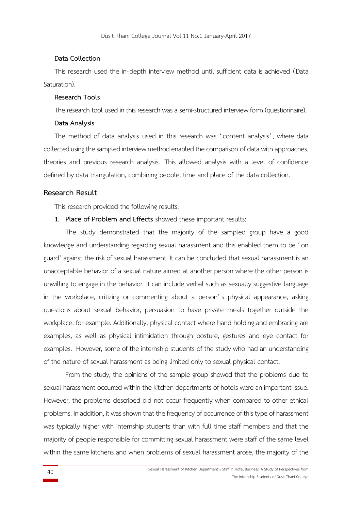#### **Data Collection**

This research used the in-depth interview method until sufficient data is achieved (Data Saturation).

#### **Research Tools**

The research tool used in this research was a semi-structured interview form (questionnaire).

#### **Data Analysis**

The method of data analysis used in this research was 'content analysis', where data collected using the sampled interview method enabled the comparison of data with approaches, theories and previous research analysis. This allowed analysis with a level of confidence defined by data triangulation, combining people, time and place of the data collection.

#### **Research Result**

This research provided the following results.

**1. Place of Problem and Effects** showed these important results:

The study demonstrated that the majority of the sampled group have a good knowledge and understanding regarding sexual harassment and this enabled them to be 'on guard' against the risk of sexual harassment. It can be concluded that sexual harassment is an unacceptable behavior of a sexual nature aimed at another person where the other person is unwilling to engage in the behavior. It can include verbal such as sexually suggestive language in the workplace, critizing or commenting about a person' s physical appearance, asking questions about sexual behavior, persuasion to have private meals together outside the workplace, for example. Additionally, physical contact where hand holding and embracing are examples, as well as physical intimidation through posture, gestures and eye contact for examples. However, some of the internship students of the study who had an understanding of the nature of sexual harassment as being limited only to sexual physical contact.

From the study, the opinions of the sample group showed that the problems due to sexual harassment occurred within the kitchen departments of hotels were an important issue. However, the problems described did not occur frequently when compared to other ethical problems. In addition, it was shown that the frequency of occurrence of this type of harassment was typically higher with internship students than with full time staff members and that the majority of people responsible for committing sexual harassment were staff of the same level within the same kitchens and when problems of sexual harassment arose, the majority of the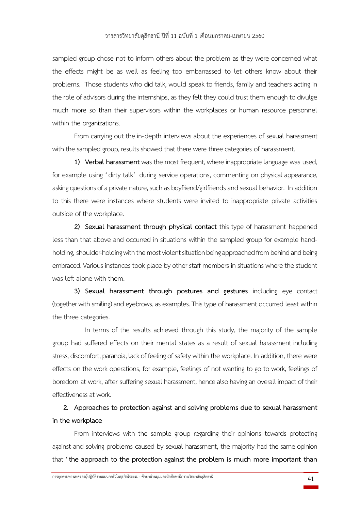sampled group chose not to inform others about the problem as they were concerned what the effects might be as well as feeling too embarrassed to let others know about their problems. Those students who did talk, would speak to friends, family and teachers acting in the role of advisors during the internships, as they felt they could trust them enough to divulge much more so than their supervisors within the workplaces or human resource personnel within the organizations.

From carrying out the in-depth interviews about the experiences of sexual harassment with the sampled group, results showed that there were three categories of harassment.

**1) Verbal harassment** was the most frequent, where inappropriate language was used, for example using 'dirty talk' during service operations, commenting on physical appearance, asking questions of a private nature, such as boyfriend/girlfriends and sexual behavior. In addition to this there were instances where students were invited to inappropriate private activities outside of the workplace.

**2) Sexual harassment through physical contact** this type of harassment happened less than that above and occurred in situations within the sampled group for example handholding, shoulder-holding with the most violent situation being approached from behind and being embraced. Various instances took place by other staff members in situations where the student was left alone with them.

**3) Sexual harassment through postures and gestures** including eye contact (together with smiling) and eyebrows, as examples. This type of harassment occurred least within the three categories.

In terms of the results achieved through this study, the majority of the sample group had suffered effects on their mental states as a result of sexual harassment including stress, discomfort, paranoia, lack of feeling of safety within the workplace. In addition, there were effects on the work operations, for example, feelings of not wanting to go to work, feelings of boredom at work, after suffering sexual harassment, hence also having an overall impact of their effectiveness at work.

**2. Approaches to protection against and solving problems due to sexual harassment in the workplace**

From interviews with the sample group regarding their opinions towards protecting against and solving problems caused by sexual harassment, the majority had the same opinion that **'the approach to the protection against the problem is much more important than**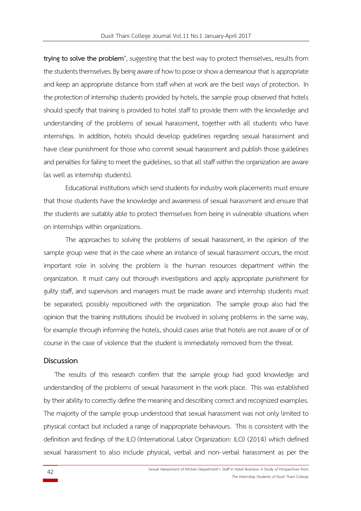**trying to solve the problem'**, suggesting that the best way to protect themselves, results from the students themselves. By being aware of how to pose or show a demeanour that is appropriate and keep an appropriate distance from staff when at work are the best ways of protection. In the protection of internship students provided by hotels, the sample group observed that hotels should specify that training is provided to hotel staff to provide them with the knowledge and understanding of the problems of sexual harassment, together with all students who have internships. In addition, hotels should develop guidelines regarding sexual harassment and have clear punishment for those who commit sexual harassment and publish those guidelines and penalties for failing to meet the guidelines, so that all staff within the organization are aware (as well as internship students).

Educational institutions which send students for industry work placements must ensure that those students have the knowledge and awareness of sexual harassment and ensure that the students are suitably able to protect themselves from being in vulnerable situations when on internships within organizations.

The approaches to solving the problems of sexual harassment, in the opinion of the sample group were that in the case where an instance of sexual harassment occurs, the most important role in solving the problem is the human resources department within the organization. It must carry out thorough investigations and apply appropriate punishment for guilty staff, and supervisors and managers must be made aware and internship students must be separated, possibly repositioned with the organization. The sample group also had the opinion that the training institutions should be involved in solving problems in the same way, for example through informing the hotels, should cases arise that hotels are not aware of or of course in the case of violence that the student is immediately removed from the threat.

#### **Discussion**

The results of this research confirm that the sample group had good knowledge and understanding of the problems of sexual harassment in the work place. This was established by their ability to correctly define the meaning and describing correct and recognized examples. The majority of the sample group understood that sexual harassment was not only limited to physical contact but included a range of inappropriate behaviours. This is consistent with the definition and findings of the ILO (International Labor Organization: ILO) (2014) which defined sexual harassment to also include physical, verbal and non-verbal harassment as per the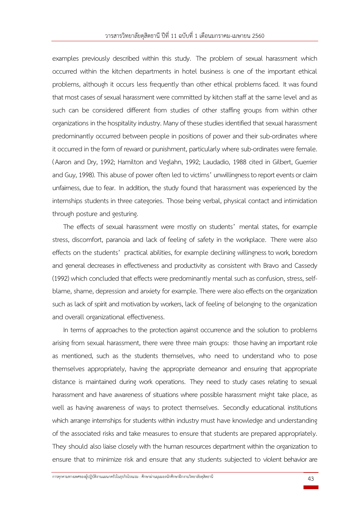examples previously described within this study. The problem of sexual harassment which occurred within the kitchen departments in hotel business is one of the important ethical problems, although it occurs less frequently than other ethical problems faced. It was found that most cases of sexual harassment were committed by kitchen staff at the same level and as such can be considered different from studies of other staffing groups from within other organizations in the hospitality industry. Many of these studies identified that sexual harassment predominantly occurred between people in positions of power and their sub-ordinates where it occurred in the form of reward or punishment, particularly where sub-ordinates were female. (Aaron and Dry, 1992; Hamilton and Veglahn, 1992; Laudadio, 1988 cited in Gilbert, Guerrier and Guy, 1998). This abuse of power often led to victims' unwillingness to report events or claim unfairness, due to fear. In addition, the study found that harassment was experienced by the internships students in three categories. Those being verbal, physical contact and intimidation through posture and gesturing.

The effects of sexual harassment were mostly on students' mental states, for example stress, discomfort, paranoia and lack of feeling of safety in the workplace. There were also effects on the students' practical abilities, for example declining willingness to work, boredom and general decreases in effectiveness and productivity as consistent with Bravo and Cassedy (1992) which concluded that effects were predominantly mental such as confusion, stress, selfblame, shame, depression and anxiety for example. There were also effects on the organization such as lack of spirit and motivation by workers, lack of feeling of belonging to the organization and overall organizational effectiveness.

In terms of approaches to the protection against occurrence and the solution to problems arising from sexual harassment, there were three main groups: those having an important role as mentioned, such as the students themselves, who need to understand who to pose themselves appropriately, having the appropriate demeanor and ensuring that appropriate distance is maintained during work operations. They need to study cases relating to sexual harassment and have awareness of situations where possible harassment might take place, as well as having awareness of ways to protect themselves. Secondly educational institutions which arrange internships for students within industry must have knowledge and understanding of the associated risks and take measures to ensure that students are prepared appropriately. They should also liaise closely with the human resources department within the organization to ensure that to minimize risk and ensure that any students subjected to violent behavior are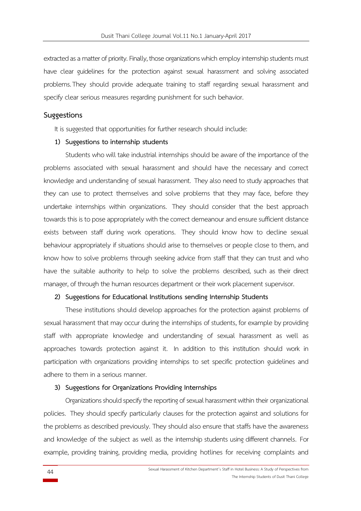extracted as a matter of priority. Finally, those organizations which employ internship students must have clear guidelines for the protection against sexual harassment and solving associated problems.They should provide adequate training to staff regarding sexual harassment and specify clear serious measures regarding punishment for such behavior.

# **Suggestions**

It is suggested that opportunities for further research should include:

#### **1) Suggestions to internship students**

Students who will take industrial internships should be aware of the importance of the problems associated with sexual harassment and should have the necessary and correct knowledge and understanding of sexual harassment. They also need to study approaches that they can use to protect themselves and solve problems that they may face, before they undertake internships within organizations. They should consider that the best approach towards this is to pose appropriately with the correct demeanour and ensure sufficient distance exists between staff during work operations. They should know how to decline sexual behaviour appropriately if situations should arise to themselves or people close to them, and know how to solve problems through seeking advice from staff that they can trust and who have the suitable authority to help to solve the problems described, such as their direct manager, of through the human resources department or their work placement supervisor.

#### **2) Suggestions for Educational Institutions sending Internship Students**

These institutions should develop approaches for the protection against problems of sexual harassment that may occur during the internships of students, for example by providing staff with appropriate knowledge and understanding of sexual harassment as well as approaches towards protection against it. In addition to this institution should work in participation with organizations providing internships to set specific protection guidelines and adhere to them in a serious manner.

#### **3) Suggestions for Organizations Providing Internships**

Organizations should specify the reporting of sexual harassment within their organizational policies. They should specify particularly clauses for the protection against and solutions for the problems as described previously. They should also ensure that staffs have the awareness and knowledge of the subject as well as the internship students using different channels. For example, providing training, providing media, providing hotlines for receiving complaints and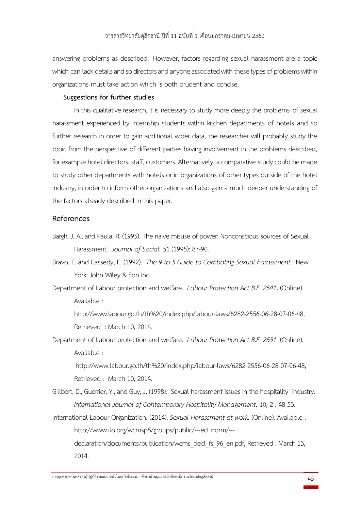answering problems as described. However, factors regarding sexual harassment are a topic which can lack details and so directors and anyone associated with these types of problems within organizations must take action which is both prudent and concise.

### **Suggestions for further studies**

In this qualitative research, it is necessary to study more deeply the problems of sexual harassment experienced by internship students within kitchen departments of hotels and so further research in order to gain additional wider data, the researcher will probably study the topic from the perspective of different parties having involvement in the problems described, for example hotel directors, staff, customers. Alternatively, a comparative study could be made to study other departments with hotels or in organizations of other types outside of the hotel industry, in order to inform other organizations and also gain a much deeper understanding of the factors already described in this paper.

# **References**

- Bargh, J. A., and Paula, R. (1995). The naive misuse of power: Nonconscious sources of Sexual Harassment. *Journal of Social.* 51 (1995): 87-90.
- Bravo, E. and Cassedy, E. (1992). *The 9 to 5 Guide to Combating Sexual harassment.* New York: John Wiley & Son Inc.
- Department of Labour protection and welfare. *Labour Protection Act B.E. 2541***.** (Online). Available :

http://www.labour.go.th/th%20/index.php/[labour](http://www.labour.go.th/th%20/index.php/labour-laws/6282-2556-06-28-07-06-48)-laws/6282-2556-06-28-07-06-48, Retrieved : March 10, 2014.

Department of Labour protection and welfare. *Labour Protection Act B.E. 2551.* (Online). Available :

http://www.labour.go.th/th%20/index.php/[labour](http://www.labour.go.th/th%20/index.php/labour-laws/6282-2556-06-28-07-06-48)-laws/6282-2556-06-28-07-06-48, Retrieved : March 10, 2014.

- Gillbert, D., Guerrier, Y., and Guy, J. (1998). Sexual harassment issues in the hospitality industry. *International Journal of Contemporary Hospitality Management***.** 10, 2 : 48-53.
- International Labour Organization. (2014). *Sexual Harassment at work.* (Online). Available : http://www.ilo.org/wcmsp5/groups/public/---[ed\\_norm](http://www.ilo.org/wcmsp5/groups/public/---ed_norm/---)/-- declaration/documents/publication/wcms\_decl\_fs\_96\_en.pdf, Retrieved : March 13, 2014.